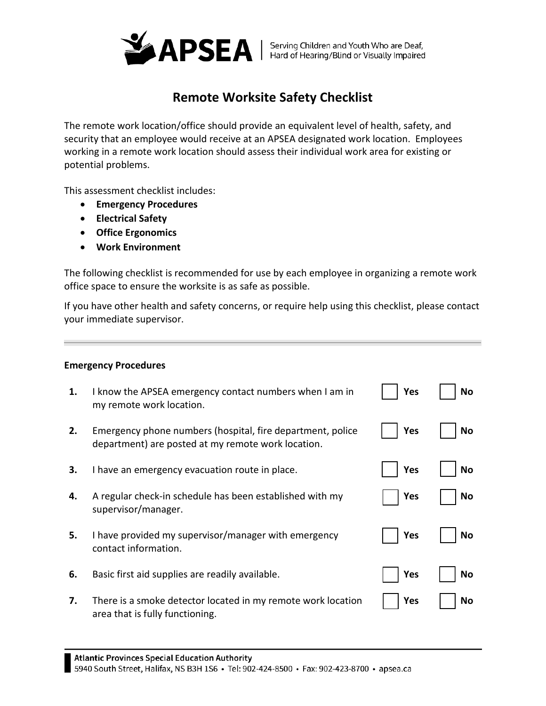

## **Remote Worksite Safety Checklist**

The remote work location/office should provide an equivalent level of health, safety, and security that an employee would receive at an APSEA designated work location. Employees working in a remote work location should assess their individual work area for existing or potential problems.

This assessment checklist includes:

- **Emergency Procedures**
- **Electrical Safety**
- **Office Ergonomics**
- **Work Environment**

The following checklist is recommended for use by each employee in organizing a remote work office space to ensure the worksite is as safe as possible.

If you have other health and safety concerns, or require help using this checklist, please contact your immediate supervisor.

## **Emergency Procedures**

| 1. | I know the APSEA emergency contact numbers when I am in<br>my remote work location.                              | Yes | No |
|----|------------------------------------------------------------------------------------------------------------------|-----|----|
| 2. | Emergency phone numbers (hospital, fire department, police<br>department) are posted at my remote work location. | Yes | No |
| З. | I have an emergency evacuation route in place.                                                                   | Yes | Nο |
| 4. | A regular check-in schedule has been established with my<br>supervisor/manager.                                  | Yes | No |
| 5. | I have provided my supervisor/manager with emergency<br>contact information.                                     | Yes | No |
| 6. | Basic first aid supplies are readily available.                                                                  | Yes | No |
| 7. | There is a smoke detector located in my remote work location<br>area that is fully functioning.                  | Yes | No |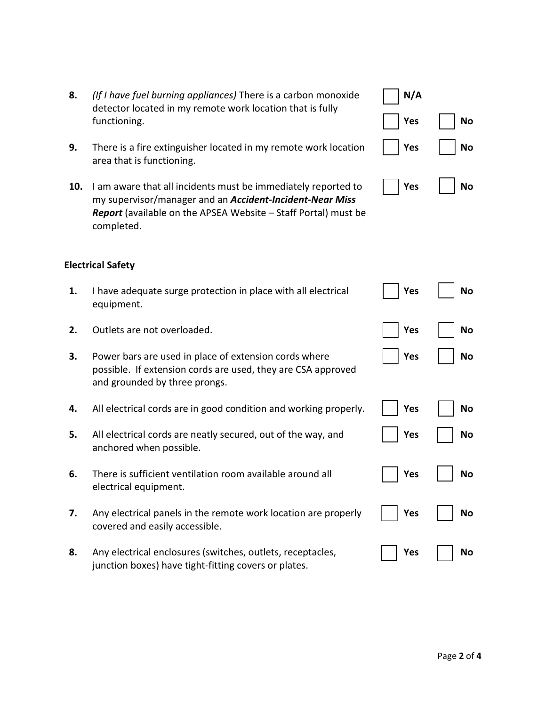- **8.** *(If I have fuel burning appliances)* There is a carbon monoxide detector located in my remote work location that is fully functioning.
- **9.** There is a fire extinguisher located in my remote work location area that is functioning.
- **10.** I am aware that all incidents must be immediately reported to my supervisor/manager and an *Accident-Incident-Near Miss Report* (available on the APSEA Website – Staff Portal) must be completed.

## **Electrical Safety**

- **1.** I have adequate surge protection in place with all electrical equipment.
- **2.** Outlets are not overloaded. **Yes No**
- **3.** Power bars are used in place of extension cords where possible. If extension cords are used, they are CSA approved and grounded by three prongs.
- **4.** All electrical cords are in good condition and working properly.  $\vert \cdot \vert$  **Yes**  $\vert \cdot \vert$  **No**
- **5.** All electrical cords are neatly secured, out of the way, and anchored when possible.
- **6.** There is sufficient ventilation room available around all electrical equipment.
- **7.** Any electrical panels in the remote work location are properly covered and easily accessible.
- **8.** Any electrical enclosures (switches, outlets, receptacles, junction boxes) have tight-fitting covers or plates.

| N/A |    |
|-----|----|
| Yes | No |
| Yes | No |
| Yes | ۱o |

**Yes**  $\vert$  **No** 

**Yes** | | **No** 

**Yes** | | **No** 

**Yes** | | **No** 

**Yes** | | **No** 

Yes | | No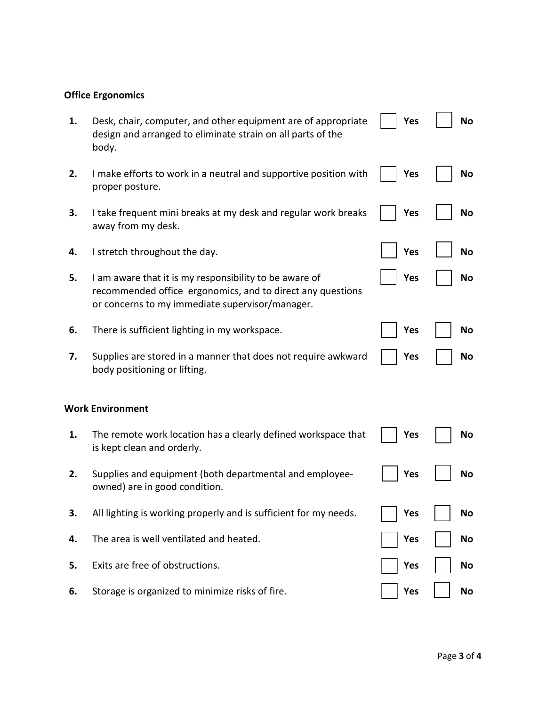## **Office Ergonomics**

| 1. | Desk, chair, computer, and other equipment are of appropriate<br>design and arranged to eliminate strain on all parts of the<br>body.                                   | Yes        | <b>No</b> |
|----|-------------------------------------------------------------------------------------------------------------------------------------------------------------------------|------------|-----------|
| 2. | I make efforts to work in a neutral and supportive position with<br>proper posture.                                                                                     | <b>Yes</b> | <b>No</b> |
| 3. | I take frequent mini breaks at my desk and regular work breaks<br>away from my desk.                                                                                    | <b>Yes</b> | <b>No</b> |
| 4. | I stretch throughout the day.                                                                                                                                           | <b>Yes</b> | <b>No</b> |
| 5. | I am aware that it is my responsibility to be aware of<br>recommended office ergonomics, and to direct any questions<br>or concerns to my immediate supervisor/manager. | <b>Yes</b> | No        |
| 6. | There is sufficient lighting in my workspace.                                                                                                                           | Yes        | No        |
| 7. | Supplies are stored in a manner that does not require awkward<br>body positioning or lifting.                                                                           | Yes        | No        |
|    | <b>Work Environment</b>                                                                                                                                                 |            |           |
| 1. | The remote work location has a clearly defined workspace that<br>is kept clean and orderly.                                                                             | Yes        | No        |
| 2. | Supplies and equipment (both departmental and employee-<br>owned) are in good condition.                                                                                | <b>Yes</b> | <b>No</b> |
| 3. | All lighting is working properly and is sufficient for my needs.                                                                                                        | Yes        | No        |
| 4. | The area is well ventilated and heated.                                                                                                                                 | Yes        | No        |
| 5. | Exits are free of obstructions.                                                                                                                                         | <b>Yes</b> | No        |
| 6. | Storage is organized to minimize risks of fire.                                                                                                                         | Yes        | No        |